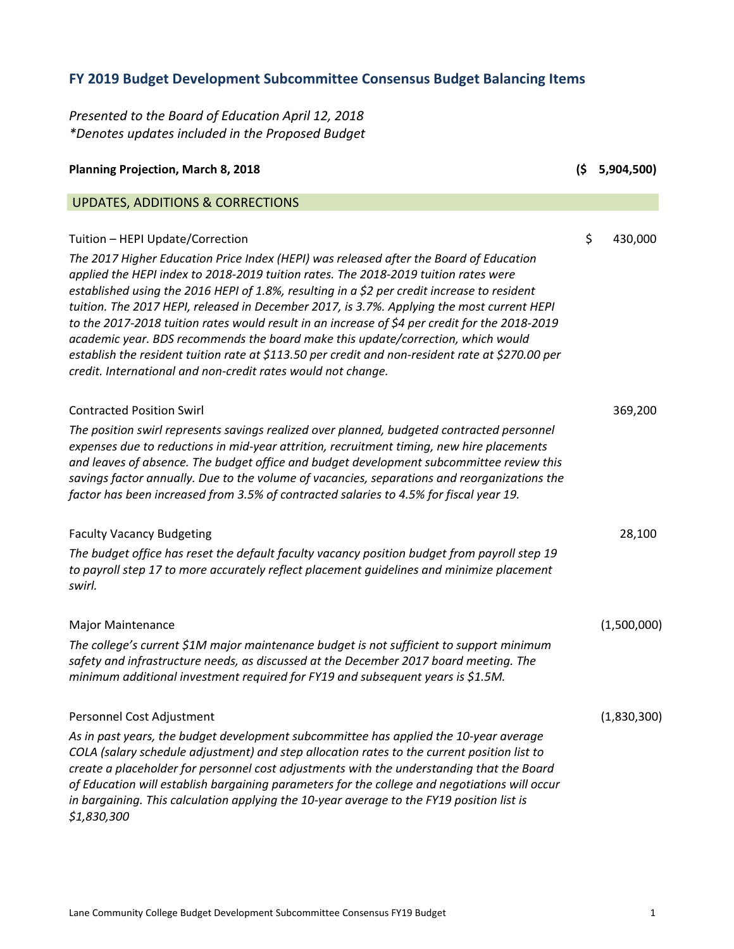## **FY 2019 Budget Development Subcommittee Consensus Budget Balancing Items**

*Presented to the Board of Education April 12, 2018 \*Denotes updates included in the Proposed Budget*

| <b>Planning Projection, March 8, 2018</b>                                                                                                                                                                                                                                                                                                                                                                                                                                                                                                                                                                                                                                                                                                                                | (\$ | 5,904,500)  |
|--------------------------------------------------------------------------------------------------------------------------------------------------------------------------------------------------------------------------------------------------------------------------------------------------------------------------------------------------------------------------------------------------------------------------------------------------------------------------------------------------------------------------------------------------------------------------------------------------------------------------------------------------------------------------------------------------------------------------------------------------------------------------|-----|-------------|
| <b>UPDATES, ADDITIONS &amp; CORRECTIONS</b>                                                                                                                                                                                                                                                                                                                                                                                                                                                                                                                                                                                                                                                                                                                              |     |             |
| Tuition - HEPI Update/Correction<br>The 2017 Higher Education Price Index (HEPI) was released after the Board of Education<br>applied the HEPI index to 2018-2019 tuition rates. The 2018-2019 tuition rates were<br>established using the 2016 HEPI of 1.8%, resulting in a \$2 per credit increase to resident<br>tuition. The 2017 HEPI, released in December 2017, is 3.7%. Applying the most current HEPI<br>to the 2017-2018 tuition rates would result in an increase of \$4 per credit for the 2018-2019<br>academic year. BDS recommends the board make this update/correction, which would<br>establish the resident tuition rate at \$113.50 per credit and non-resident rate at \$270.00 per<br>credit. International and non-credit rates would not change. | \$  | 430,000     |
| <b>Contracted Position Swirl</b><br>The position swirl represents savings realized over planned, budgeted contracted personnel<br>expenses due to reductions in mid-year attrition, recruitment timing, new hire placements<br>and leaves of absence. The budget office and budget development subcommittee review this<br>savings factor annually. Due to the volume of vacancies, separations and reorganizations the<br>factor has been increased from 3.5% of contracted salaries to 4.5% for fiscal year 19.                                                                                                                                                                                                                                                        |     | 369,200     |
| <b>Faculty Vacancy Budgeting</b><br>The budget office has reset the default faculty vacancy position budget from payroll step 19<br>to payroll step 17 to more accurately reflect placement guidelines and minimize placement<br>swirl.                                                                                                                                                                                                                                                                                                                                                                                                                                                                                                                                  |     | 28,100      |
| <b>Major Maintenance</b><br>The college's current \$1M major maintenance budget is not sufficient to support minimum<br>safety and infrastructure needs, as discussed at the December 2017 board meeting. The<br>minimum additional investment required for FY19 and subsequent years is \$1.5M.                                                                                                                                                                                                                                                                                                                                                                                                                                                                         |     | (1,500,000) |
| Personnel Cost Adjustment<br>As in past years, the budget development subcommittee has applied the 10-year average<br>COLA (salary schedule adjustment) and step allocation rates to the current position list to<br>create a placeholder for personnel cost adjustments with the understanding that the Board<br>of Education will establish bargaining parameters for the college and negotiations will occur<br>in bargaining. This calculation applying the 10-year average to the FY19 position list is<br>\$1,830,300                                                                                                                                                                                                                                              |     | (1,830,300) |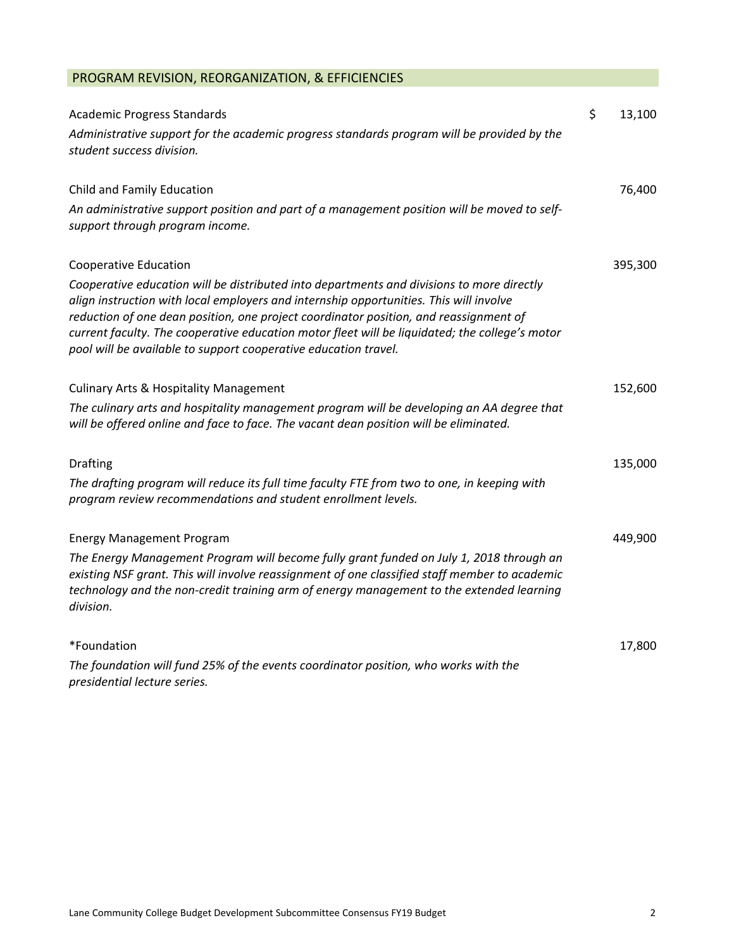| PROGRAM REVISION, REORGANIZATION, & EFFICIENCIES                                                                                                                                                                                                                                                                                                                                                                                                  |              |
|---------------------------------------------------------------------------------------------------------------------------------------------------------------------------------------------------------------------------------------------------------------------------------------------------------------------------------------------------------------------------------------------------------------------------------------------------|--------------|
| <b>Academic Progress Standards</b>                                                                                                                                                                                                                                                                                                                                                                                                                | \$<br>13,100 |
| Administrative support for the academic progress standards program will be provided by the<br>student success division.                                                                                                                                                                                                                                                                                                                           |              |
| Child and Family Education                                                                                                                                                                                                                                                                                                                                                                                                                        | 76,400       |
| An administrative support position and part of a management position will be moved to self-<br>support through program income.                                                                                                                                                                                                                                                                                                                    |              |
| <b>Cooperative Education</b>                                                                                                                                                                                                                                                                                                                                                                                                                      | 395,300      |
| Cooperative education will be distributed into departments and divisions to more directly<br>align instruction with local employers and internship opportunities. This will involve<br>reduction of one dean position, one project coordinator position, and reassignment of<br>current faculty. The cooperative education motor fleet will be liquidated; the college's motor<br>pool will be available to support cooperative education travel. |              |
| <b>Culinary Arts &amp; Hospitality Management</b>                                                                                                                                                                                                                                                                                                                                                                                                 | 152,600      |
| The culinary arts and hospitality management program will be developing an AA degree that<br>will be offered online and face to face. The vacant dean position will be eliminated.                                                                                                                                                                                                                                                                |              |
| <b>Drafting</b>                                                                                                                                                                                                                                                                                                                                                                                                                                   | 135,000      |
| The drafting program will reduce its full time faculty FTE from two to one, in keeping with<br>program review recommendations and student enrollment levels.                                                                                                                                                                                                                                                                                      |              |
| <b>Energy Management Program</b>                                                                                                                                                                                                                                                                                                                                                                                                                  | 449,900      |
| The Energy Management Program will become fully grant funded on July 1, 2018 through an<br>existing NSF grant. This will involve reassignment of one classified staff member to academic<br>technology and the non-credit training arm of energy management to the extended learning<br>division.                                                                                                                                                 |              |
| *Foundation                                                                                                                                                                                                                                                                                                                                                                                                                                       | 17,800       |
| The foundation will fund 25% of the events coordinator position, who works with the<br>presidential lecture series.                                                                                                                                                                                                                                                                                                                               |              |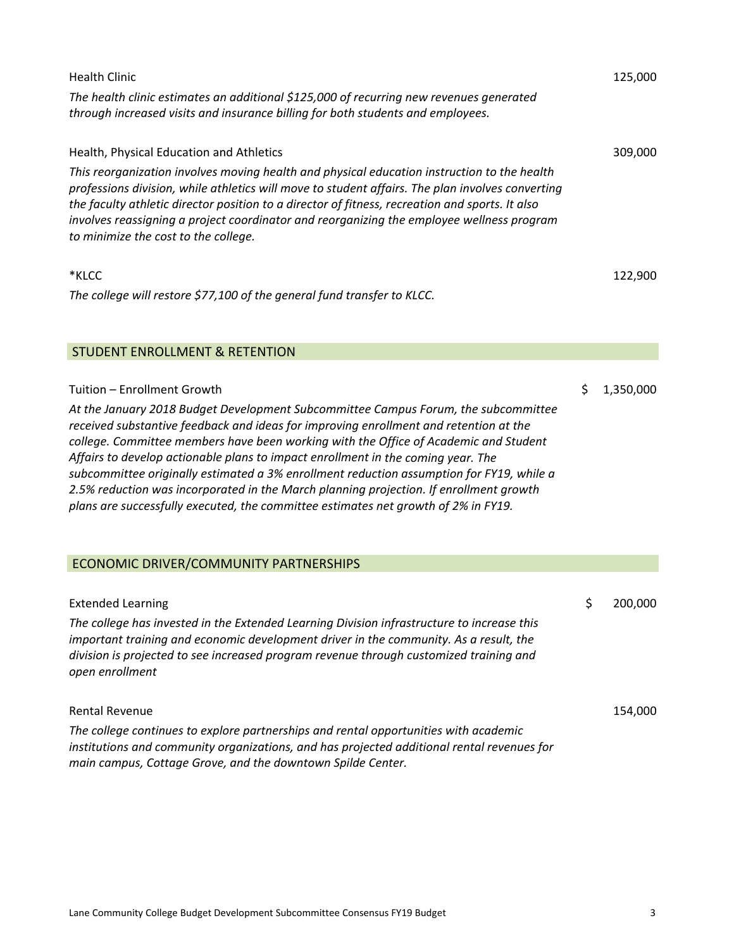| <b>Health Clinic</b><br>The health clinic estimates an additional \$125,000 of recurring new revenues generated<br>through increased visits and insurance billing for both students and employees.                                                                                                                                                                                                                                                                                                                                                                                                                                                                 | 125,000         |
|--------------------------------------------------------------------------------------------------------------------------------------------------------------------------------------------------------------------------------------------------------------------------------------------------------------------------------------------------------------------------------------------------------------------------------------------------------------------------------------------------------------------------------------------------------------------------------------------------------------------------------------------------------------------|-----------------|
| Health, Physical Education and Athletics<br>This reorganization involves moving health and physical education instruction to the health<br>professions division, while athletics will move to student affairs. The plan involves converting<br>the faculty athletic director position to a director of fitness, recreation and sports. It also<br>involves reassigning a project coordinator and reorganizing the employee wellness program<br>to minimize the cost to the college.                                                                                                                                                                                | 309,000         |
| *KLCC<br>The college will restore \$77,100 of the general fund transfer to KLCC.                                                                                                                                                                                                                                                                                                                                                                                                                                                                                                                                                                                   | 122,900         |
| <b>STUDENT ENROLLMENT &amp; RETENTION</b>                                                                                                                                                                                                                                                                                                                                                                                                                                                                                                                                                                                                                          |                 |
| Tuition - Enrollment Growth<br>At the January 2018 Budget Development Subcommittee Campus Forum, the subcommittee<br>received substantive feedback and ideas for improving enrollment and retention at the<br>college. Committee members have been working with the Office of Academic and Student<br>Affairs to develop actionable plans to impact enrollment in the coming year. The<br>subcommittee originally estimated a 3% enrollment reduction assumption for FY19, while a<br>2.5% reduction was incorporated in the March planning projection. If enrollment growth<br>plans are successfully executed, the committee estimates net growth of 2% in FY19. | \$<br>1,350,000 |
| ECONOMIC DRIVER/COMMUNITY PARTNERSHIPS                                                                                                                                                                                                                                                                                                                                                                                                                                                                                                                                                                                                                             |                 |
| <b>Extended Learning</b><br>The college has invested in the Extended Learning Division infrastructure to increase this<br>important training and economic development driver in the community. As a result, the<br>division is projected to see increased program revenue through customized training and<br>open enrollment                                                                                                                                                                                                                                                                                                                                       | \$<br>200,000   |
| <b>Rental Revenue</b>                                                                                                                                                                                                                                                                                                                                                                                                                                                                                                                                                                                                                                              | 154,000         |

*The college continues to explore partnerships and rental opportunities with academic institutions and community organizations, and has projected additional rental revenues for main campus, Cottage Grove, and the downtown Spilde Center.*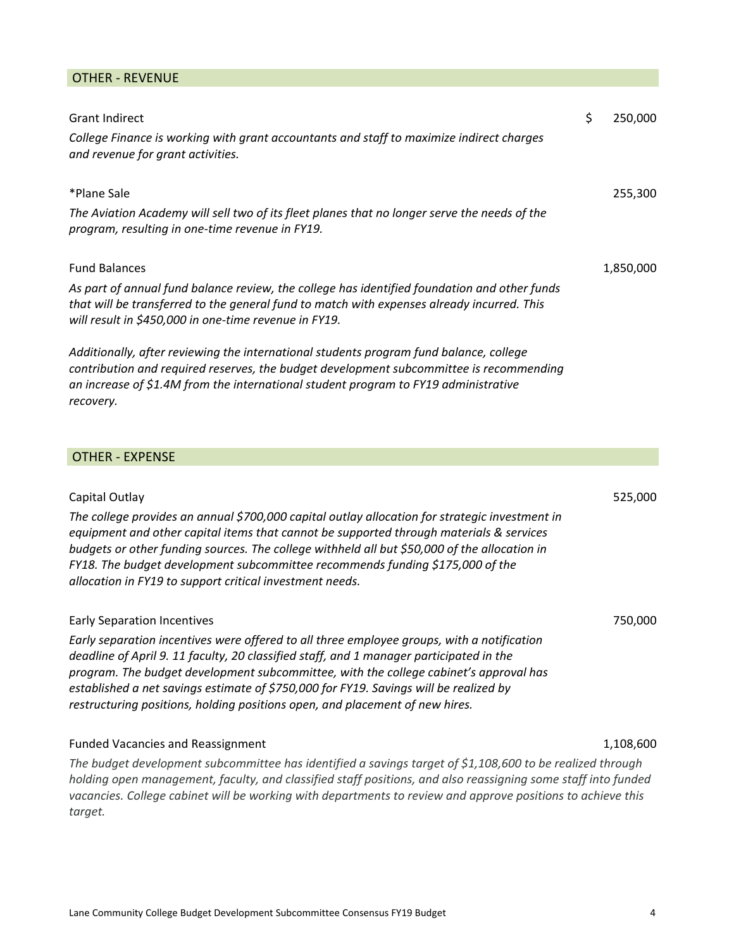## OTHER ‐ REVENUE

| <b>Grant Indirect</b>                                                                                                                                                                                                                                                                                                                                                                                                                                    | \$ | 250,000   |
|----------------------------------------------------------------------------------------------------------------------------------------------------------------------------------------------------------------------------------------------------------------------------------------------------------------------------------------------------------------------------------------------------------------------------------------------------------|----|-----------|
| College Finance is working with grant accountants and staff to maximize indirect charges<br>and revenue for grant activities.                                                                                                                                                                                                                                                                                                                            |    |           |
| *Plane Sale                                                                                                                                                                                                                                                                                                                                                                                                                                              |    | 255,300   |
| The Aviation Academy will sell two of its fleet planes that no longer serve the needs of the<br>program, resulting in one-time revenue in FY19.                                                                                                                                                                                                                                                                                                          |    |           |
| <b>Fund Balances</b>                                                                                                                                                                                                                                                                                                                                                                                                                                     |    | 1,850,000 |
| As part of annual fund balance review, the college has identified foundation and other funds<br>that will be transferred to the general fund to match with expenses already incurred. This<br>will result in \$450,000 in one-time revenue in FY19.                                                                                                                                                                                                      |    |           |
| Additionally, after reviewing the international students program fund balance, college<br>contribution and required reserves, the budget development subcommittee is recommending<br>an increase of \$1.4M from the international student program to FY19 administrative<br>recovery.                                                                                                                                                                    |    |           |
| <b>OTHER - EXPENSE</b>                                                                                                                                                                                                                                                                                                                                                                                                                                   |    |           |
|                                                                                                                                                                                                                                                                                                                                                                                                                                                          |    |           |
| Capital Outlay<br>The college provides an annual \$700,000 capital outlay allocation for strategic investment in<br>equipment and other capital items that cannot be supported through materials & services<br>budgets or other funding sources. The college withheld all but \$50,000 of the allocation in<br>FY18. The budget development subcommittee recommends funding \$175,000 of the<br>allocation in FY19 to support critical investment needs. |    | 525,000   |
| <b>Early Separation Incentives</b>                                                                                                                                                                                                                                                                                                                                                                                                                       |    | 750,000   |
| Early separation incentives were offered to all three employee groups, with a notification<br>deadline of April 9. 11 faculty, 20 classified staff, and 1 manager participated in the<br>program. The budget development subcommittee, with the college cabinet's approval has<br>established a net savings estimate of \$750,000 for FY19. Savings will be realized by                                                                                  |    |           |

*restructuring positions, holding positions open, and placement of new hires.*

## Funded Vacancies and Reassignment 1,108,600

*The budget development subcommittee has identified a savings target of \$1,108,600 to be realized through holding open management, faculty, and classified staff positions, and also reassigning some staff into funded vacancies. College cabinet will be working with departments to review and approve positions to achieve this target.*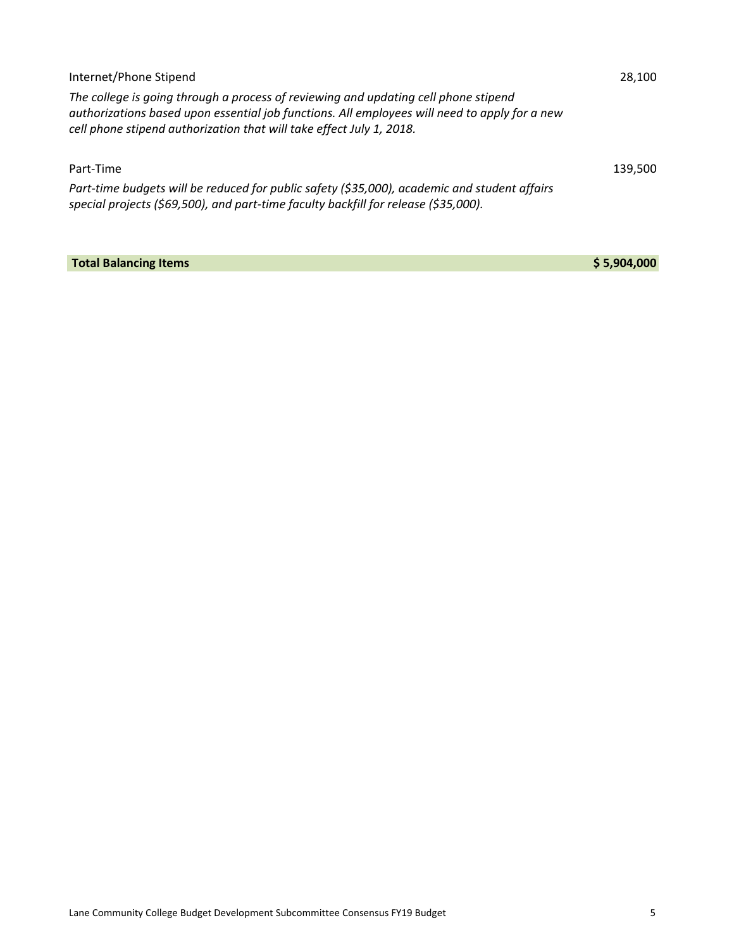| Internet/Phone Stipend                                                                                                                                                                                                                                       | 28.100  |  |
|--------------------------------------------------------------------------------------------------------------------------------------------------------------------------------------------------------------------------------------------------------------|---------|--|
| The college is going through a process of reviewing and updating cell phone stipend<br>authorizations based upon essential job functions. All employees will need to apply for a new<br>cell phone stipend authorization that will take effect July 1, 2018. |         |  |
| Part-Time                                                                                                                                                                                                                                                    | 139.500 |  |
| Part-time budgets will be reduced for public safety (\$35,000), academic and student affairs<br>special projects (\$69,500), and part-time faculty backfill for release (\$35,000).                                                                          |         |  |

**Total Balancing Items \$ 5,904,000**